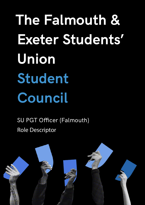**The Falmouth & Exeter Students' Union Student Council**

SU PGT Officer (Falmouth) Role Descriptor

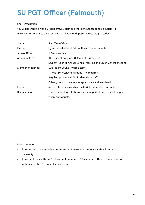## **SU PGT Officer (Falmouth)**

## Short Description:

You will be working with SU Presidents, SU staff, and the Falmouth student rep system, to make improvements to the experience of all Falmouth postgraduate taught students.

| Status:            | Part-Time Officer                                                      |
|--------------------|------------------------------------------------------------------------|
| Elected:           | By secret ballot by all Falmouth and Exeter students                   |
| Term of Office:    | 1 Academic Year                                                        |
| Accountable to:    | The student body via SU Board of Trustees, SU                          |
|                    | Student Council, Annual General Meeting and Union General Meetings     |
| Member of/attends: | SU Student Council (twice a term                                       |
|                    | 1:1 with SU President Falmouth (twice termly)                          |
|                    | Regular Updates with SU Student Voice staff                            |
|                    | Other groups or meetings as appropriate and mandated                   |
| Hours:             | As the role requires and can be flexible dependent on studies.         |
| Remuneration:      | This is a voluntary role, however, out of pocket expenses will be paid |
|                    | where appropriate.                                                     |

Role Summary:

- To represent and campaign on the student learning experience within Falmouth University;
- To work closely with the SU President Falmouth, SU academic officers, the student rep system, and the SU Student Voice Team.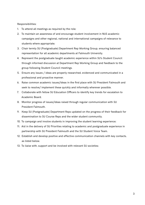Responsibilities:

- 1. To attend all meetings as required by the role;
- 2. To maintain an awareness of and encourage student involvement in NUS academic campaigns and other regional, national and international campaigns of relevance to students where appropriate;
- 3. Chair termly SU (Postgraduate) Department Rep Working Group, ensuring balanced representation for all academic departments at Falmouth University.
- 4. Represent the postgraduate taught academic experience within SU's Student Council through informed discussion at Department Rep Working Group and feedback to the group following Student Council meetings.
- 5. Ensure any issues / ideas are properly researched, evidenced and communicated in a professional and proactive manner.
- 6. Raise common academic issues/ideas in the first place with SU President Falmouth and seek to resolve/ implement these quickly and informally wherever possible.
- 7. Collaborate with fellow SU Education Officers to identify key trends for escalation to Academic Board.
- 8. Monitor progress of issues/ideas raised through regular communication with SU President Falmouth.
- 9. Keep SU (Postgraduate) Department Reps updated on the progress of their feedback for dissemination to SU Course Reps and the wider student community.
- 10. To campaign and involve students in improving the student learning experience;
- 11. Aid in the delivery of SU Priorities relating to academic and postgraduate experience in partnership with SU President Falmouth and the SU Student Voice Team.
- 12. Establish and develop positive and effective communication channels with key contacts, as listed below.
- 13. To liaise with, support and be involved with relevant SU societies;